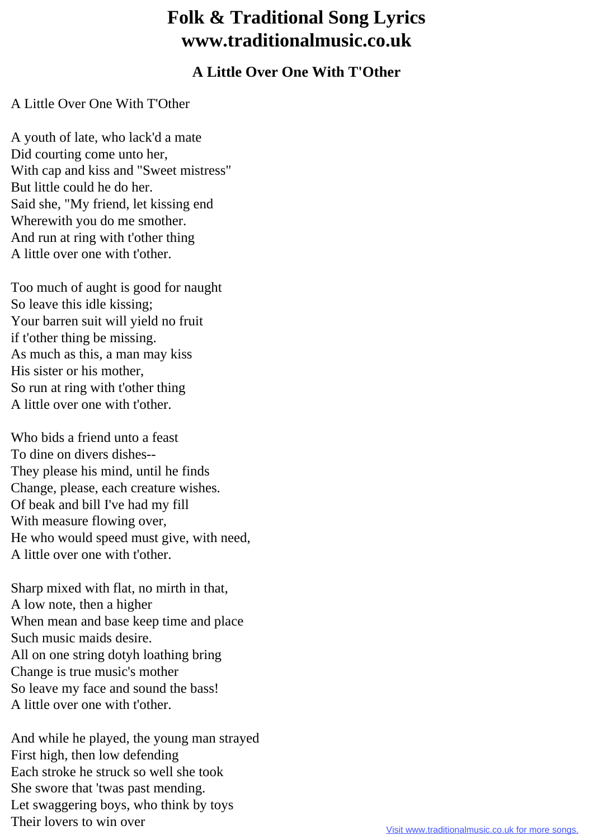## **Folk & Traditional Song Lyrics www.traditionalmusic.co.uk**

## **A Little Over One With T'Other**

## A Little Over One With T'Other

A youth of late, who lack'd a mate Did courting come unto her, With cap and kiss and "Sweet mistress" But little could he do her. Said she, "My friend, let kissing end Wherewith you do me smother. And run at ring with t'other thing A little over one with t'other.

Too much of aught is good for naught So leave this idle kissing; Your barren suit will yield no fruit if t'other thing be missing. As much as this, a man may kiss His sister or his mother, So run at ring with t'other thing A little over one with t'other.

Who bids a friend unto a feast To dine on divers dishes-- They please his mind, until he finds Change, please, each creature wishes. Of beak and bill I've had my fill With measure flowing over, He who would speed must give, with need, A little over one with t'other.

Sharp mixed with flat, no mirth in that, A low note, then a higher When mean and base keep time and place Such music maids desire. All on one string dotyh loathing bring Change is true music's mother So leave my face and sound the bass! A little over one with t'other.

And while he played, the young man strayed First high, then low defending Each stroke he struck so well she took She swore that 'twas past mending. Let swaggering boys, who think by toys Their lovers to win over